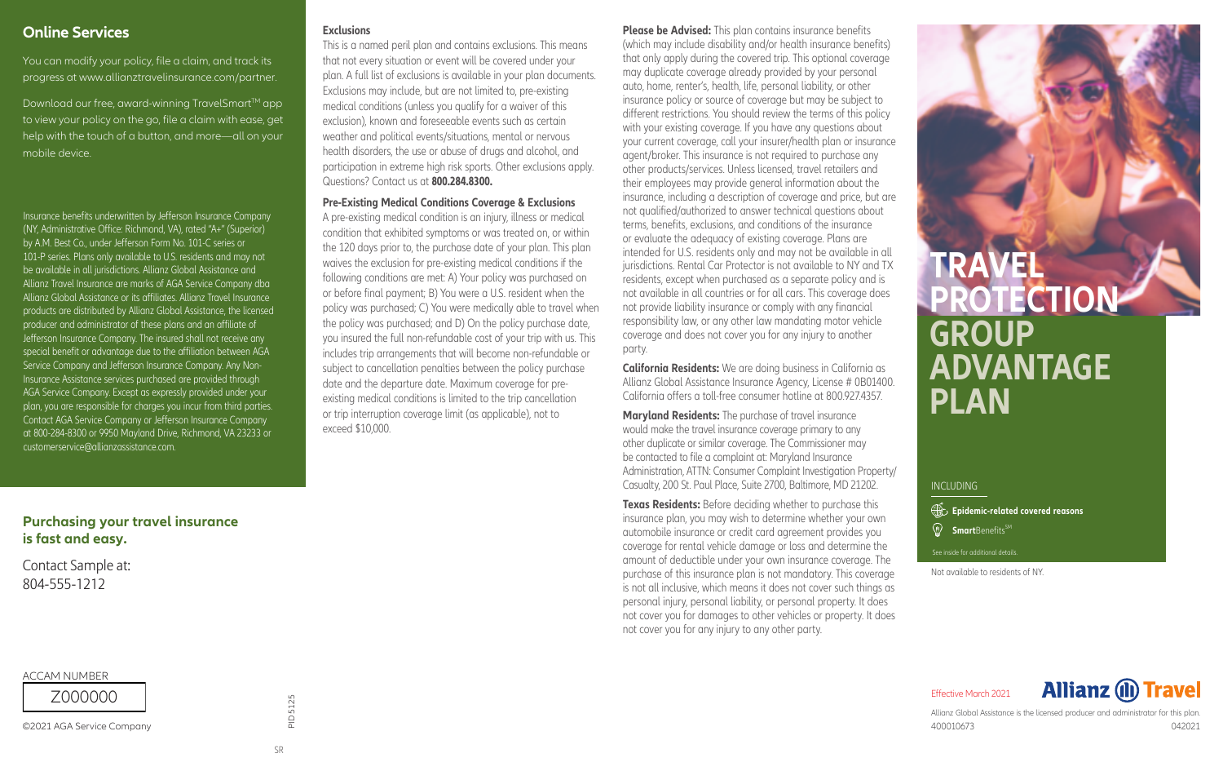### **Online Services**

You can modify your policy, file a claim, and track its progress at www.allianztravelinsurance.com/partner.

Download our free, award-winning TravelSmart™ app to view your policy on the go, file a claim with ease, get help with the touch of a button, and more—all on your mobile device.

Insurance benefits underwritten by Jefferson Insurance Company (NY, Administrative Office: Richmond, VA), rated "A+" (Superior) by A.M. Best Co., under Jefferson Form No. 101-C series or 101-P series. Plans only available to U.S. residents and may not be available in all jurisdictions. Allianz Global Assistance and Allianz Travel Insurance are marks of AGA Service Company dba Allianz Global Assistance or its affiliates. Allianz Travel Insurance products are distributed by Allianz Global Assistance, the licensed producer and administrator of these plans and an affiliate of Jefferson Insurance Company. The insured shall not receive any special benefit or advantage due to the affiliation between AGA Service Company and Jefferson Insurance Company. Any Non-Insurance Assistance services purchased are provided through AGA Service Company. Except as expressly provided under your plan, you are responsible for charges you incur from third parties. Contact AGA Service Company or Jefferson Insurance Company at 800-284-8300 or 9950 Mayland Drive, Richmond, VA 23233 or customerservice@allianzassistance.com.

### **Purchasing your travel insurance** is fast and easy.

Contact Sample at: 804-555-1212

**ACCAM NUMBER** 

Z 000000

©2021 AGA Service Company

### **Exclusions**

This is a named peril plan and contains exclusions. This means that not every situation or event will be covered under your plan. A full list of exclusions is available in your plan documents. Exclusions may include, but are not limited to, pre-existing medical conditions (unless you qualify for a waiver of this exclusion), known and foreseeable events such as certain weather and political events/situations, mental or nervous health disorders, the use or abuse of drugs and alcohol, and participation in extreme high risk sports. Other exclusions apply. Questions? Contact us at **800.284.8300.**

**Pre-Existing Medical Conditions Coverage & Exclusions**

A pre-existing medical condition is an injury, illness or medical condition that exhibited symptoms or was treated on, or within the 120 days prior to, the purchase date of your plan. This plan waives the exclusion for pre-existing medical conditions if the following conditions are met: A) Your policy was purchased on or before final payment; B) You were a U.S. resident when the policy was purchased; C) You were medically able to travel when the policy was purchased; and D) On the policy purchase date, you insured the full non-refundable cost of your trip with us. This includes trip arrangements that will become non-refundable or subject to cancellation penalties between the policy purchase date and the departure date. Maximum coverage for preexisting medical conditions is limited to the trip cancellation or trip interruption coverage limit (as applicable), not to exceed \$10,000.

### **Please be Advised:** This plan contains insurance benefits

(which may include disability and/or health insurance benefits) that only apply during the covered trip. This optional coverage may duplicate coverage already provided by your personal auto, home, renter's, health, life, personal liability, or other insurance policy or source of coverage but may be subject to different restrictions. You should review the terms of this policy with your existing coverage. If you have any questions about your current coverage, call your insurer/health plan or insurance agent/broker. This insurance is not required to purchase any other products/services. Unless licensed, travel retailers and their employees may provide general information about the insurance, including a description of coverage and price, but are not qualified/authorized to answer technical questions about terms, benefits, exclusions, and conditions of the insurance or evaluate the adequacy of existing coverage. Plans are intended for U.S. residents only and may not be available in all jurisdictions. Rental Car Protector is not available to NY and TX residents, except when purchased as a separate policy and is not available in all countries or for all cars. This coverage does not provide liability insurance or comply with any financial responsibility law, or any other law mandating motor vehicle coverage and does not cover you for any injury to another party.

**California Residents:** We are doing business in California as Allianz Global Assistance Insurance Agency, License # 0B01400. California offers a toll-free consumer hotline at 800.927.4357.

**Maryland Residents:** The purchase of travel insurance would make the travel insurance coverage primary to any other duplicate or similar coverage. The Commissioner may be contacted to file a complaint at: Maryland Insurance Administration, ATTN: Consumer Complaint Investigation Property/ Casualty, 200 St. Paul Place, Suite 2700, Baltimore, MD 21202.

**Texas Residents:** Before deciding whether to purchase this insurance plan, you may wish to determine whether your own automobile insurance or credit card agreement provides you coverage for rental vehicle damage or loss and determine the amount of deductible under your own insurance coverage. The purchase of this insurance plan is not mandatory. This coverage is not all inclusive, which means it does not cover such things as personal injury, personal liability, or personal property. It does not cover you for damages to other vehicles or property. It does not cover you for any injury to any other party.

# **TRAVEL PROTECTION GROUP ADVANTAGE PLAN**

### **INCLUDING**

**Smart**Benefits<sup>SM</sup> **Epidemic-related covered reasons** 

See inside for additional details.

Not available to residents of NY.

**Allianz (II) Travel** Effective March 2021

Allianz Global Assistance is the licensed producer and administrator for this plan. 400010673 042021

PID 5125